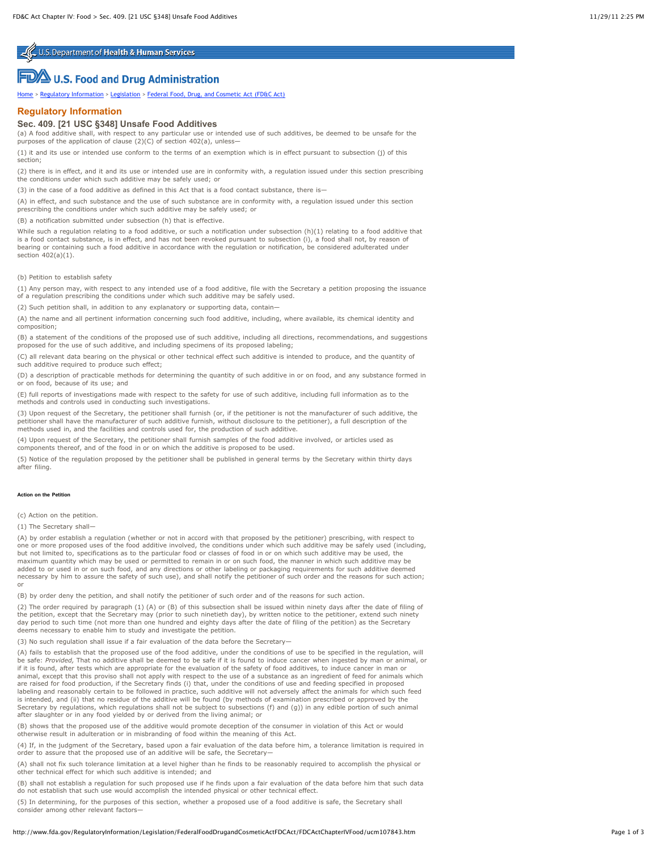U.S. Department of Health & Human Services

# **FLA** U.S. Food and Drug Administration

[Home](http://www.fda.gov/default.htm) > [Regulatory Information](http://www.fda.gov/RegulatoryInformation/default.htm) > [Legislation](http://www.fda.gov/RegulatoryInformation/Legislation/default.htm) > [Federal Food, Drug, and Cosmetic Act \(FD&C Act\)](http://www.fda.gov/RegulatoryInformation/Legislation/FederalFoodDrugandCosmeticActFDCAct/default.htm)

# **Regulatory Information**

## **Sec. 409. [21 USC §348] Unsafe Food Additives**

(a) A food additive shall, with respect to any particular use or intended use of such additives, be deemed to be unsafe for the purposes of the application of clause  $(2)(C)$  of section 402(a), unless-

(1) it and its use or intended use conform to the terms of an exemption which is in effect pursuant to subsection (j) of this section;

(2) there is in effect, and it and its use or intended use are in conformity with, a regulation issued under this section prescribing the conditions under which such additive may be safely used; or

(3) in the case of a food additive as defined in this Act that is a food contact substance, there is—

(A) in effect, and such substance and the use of such substance are in conformity with, a regulation issued under this section prescribing the conditions under which such additive may be safely used; or

(B) a notification submitted under subsection (h) that is effective.

While such a regulation relating to a food additive, or such a notification under subsection (h)(1) relating to a food additive that is a food contact substance, is in effect, and has not been revoked pursuant to subsection (i), a food shall not, by reason of bearing or containing such a food additive in accordance with the regulation or notification, be considered adulterated under section 402(a)(1).

(b) Petition to establish safety

(1) Any person may, with respect to any intended use of a food additive, file with the Secretary a petition proposing the issuance of a regulation prescribing the conditions under which such additive may be safely used.

(2) Such petition shall, in addition to any explanatory or supporting data, contain—

(A) the name and all pertinent information concerning such food additive, including, where available, its chemical identity and composition;

(B) a statement of the conditions of the proposed use of such additive, including all directions, recommendations, and suggestions proposed for the use of such additive, and including specimens of its proposed labeling;

(C) all relevant data bearing on the physical or other technical effect such additive is intended to produce, and the quantity of such additive required to produce such effect:

(D) a description of practicable methods for determining the quantity of such additive in or on food, and any substance formed in or on food, because of its use; and

(E) full reports of investigations made with respect to the safety for use of such additive, including full information as to the methods and controls used in conducting such investigations.

(3) Upon request of the Secretary, the petitioner shall furnish (or, if the petitioner is not the manufacturer of such additive, the petitioner shall have the manufacturer of such additive furnish, without disclosure to the petitioner), a full description of the methods used in, and the facilities and controls used for, the production of such additive.

(4) Upon request of the Secretary, the petitioner shall furnish samples of the food additive involved, or articles used as components thereof, and of the food in or on which the additive is proposed to be used.

(5) Notice of the regulation proposed by the petitioner shall be published in general terms by the Secretary within thirty days after filing.

#### **Action on the Petition**

(c) Action on the petition.

(1) The Secretary shall

(A) by order establish a regulation (whether or not in accord with that proposed by the petitioner) prescribing, with respect to one or more proposed uses of the food additive involved, the conditions under which such additive may be safely used (including,<br>but not limited to, specifications as to the particular food or classes of food in or on whic maximum quantity which may be used or permitted to remain in or on such food, the manner in which such additive may be added to or used in or on such food, and any directions or other labeling or packaging requirements for such additive deemed necessary by him to assure the safety of such use), and shall notify the petitioner of such order and the reasons for such action; or

(B) by order deny the petition, and shall notify the petitioner of such order and of the reasons for such action.

(2) The order required by paragraph (1) (A) or (B) of this subsection shall be issued within ninety days after the date of filing of the petition, except that the Secretary may (prior to such ninetieth day), by written notice to the petitioner, extend such ninety day period to such time (not more than one hundred and eighty days after the date of filing of the petition) as the Secretary deems necessary to enable him to study and investigate the petition.

(3) No such regulation shall issue if a fair evaluation of the data before the Secretary—

(A) fails to establish that the proposed use of the food additive, under the conditions of use to be specified in the regulation, will<br>be safe: *Provided,* That no additive shall be deemed to be safe if it is found to indu if it is found, after tests which are appropriate for the evaluation of the safety of food additives, to induce cancer in man or animal, except that this proviso shall not apply with respect to the use of a substance as an ingredient of feed for animals which<br>are raised for food production, if the Secretary finds (i) that, under the conditions of us labeling and reasonably certain to be followed in practice, such additive will not adversely affect the animals for which such feed is intended, and (ii) that no residue of the additive will be found (by methods of examination prescribed or approved by the Secretary by regulations, which regulations shall not be subject to subsections (f) and (g)) in any edible portion of such animal after slaughter or in any food yielded by or derived from the living animal; or

(B) shows that the proposed use of the additive would promote deception of the consumer in violation of this Act or would otherwise result in adulteration or in misbranding of food within the meaning of this Act.

(4) If, in the judgment of the Secretary, based upon a fair evaluation of the data before him, a tolerance limitation is required in order to assure that the proposed use of an additive will be safe, the Secretary—

(A) shall not fix such tolerance limitation at a level higher than he finds to be reasonably required to accomplish the physical or other technical effect for which such additive is intended; and

(B) shall not establish a regulation for such proposed use if he finds upon a fair evaluation of the data before him that such data<br>do not establish that such use would accomplish the intended physical or other technical e

(5) In determining, for the purposes of this section, whether a proposed use of a food additive is safe, the Secretary shall consider among other relevant factors-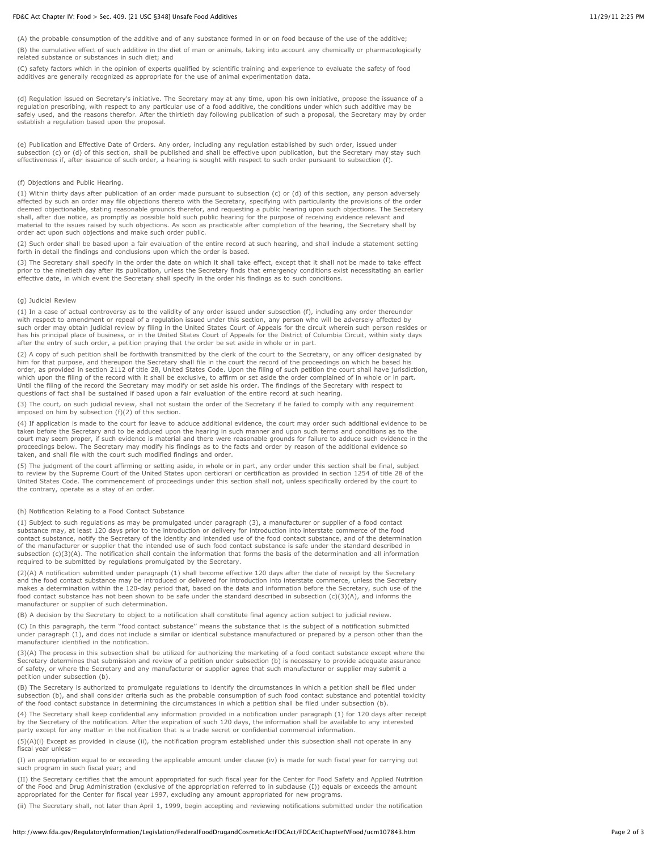#### FD&C Act Chapter IV: Food > Sec. 409. [21 USC §348] Unsafe Food Additives 11/29/11 2:25 PM

(A) the probable consumption of the additive and of any substance formed in or on food because of the use of the additive;

(B) the cumulative effect of such additive in the diet of man or animals, taking into account any chemically or pharmacologically related substance or substances in such diet; and

(C) safety factors which in the opinion of experts qualified by scientific training and experience to evaluate the safety of food additives are generally recognized as appropriate for the use of animal experimentation data.

(d) Regulation issued on Secretary's initiative. The Secretary may at any time, upon his own initiative, propose the issuance of a regulation prescribing, with respect to any particular use of a food additive, the conditions under which such additive may be safely used, and the reasons therefor. After the thirtieth day following publication of such a proposal, the Secretary may by order establish a regulation based upon the proposal.

(e) Publication and Effective Date of Orders. Any order, including any regulation established by such order, issued under subsection (c) or (d) of this section, shall be published and shall be effective upon publication, but the Secretary may stay such effectiveness if, after issuance of such order, a hearing is sought with respect to such order pursuant to subsection (f).

#### (f) Objections and Public Hearing.

(1) Within thirty days after publication of an order made pursuant to subsection (c) or (d) of this section, any person adversely affected by such an order may file objections thereto with the Secretary, specifying with particularity the provisions of the order deemed objectionable, stating reasonable grounds therefor, and requesting a public hearing upon such objections. The Secretary shall, after due notice, as promptly as possible hold such public hearing for the purpose of receiving evidence relevant and<br>material to the issues raised by such objections. As soon as practicable after completion of the order act upon such objections and make such order public.

(2) Such order shall be based upon a fair evaluation of the entire record at such hearing, and shall include a statement setting forth in detail the findings and conclusions upon which the order is based.

(3) The Secretary shall specify in the order the date on which it shall take effect, except that it shall not be made to take effect prior to the ninetieth day after its publication, unless the Secretary finds that emergency conditions exist necessitating an earlier effective date, in which event the Secretary shall specify in the order his findings as to such conditions.

#### (g) Judicial Review

(1) In a case of actual controversy as to the validity of any order issued under subsection (f), including any order thereunder with respect to amendment or repeal of a regulation issued under this section, any person who will be adversely affected by such order may obtain judicial review by filing in the United States Court of Appeals for the circuit wherein such person resides or<br>has his principal place of business, or in the United States Court of Appeals for the Dis after the entry of such order, a petition praying that the order be set aside in whole or in part.

(2) A copy of such petition shall be forthwith transmitted by the clerk of the court to the Secretary, or any officer designated by him for that purpose, and thereupon the Secretary shall file in the court the record of the proceedings on which he based his order, as provided in section 2112 of title 28, United States Code. Upon the filing of such petition the court shall have jurisdiction,<br>which upon the filing of the record with it shall be exclusive, to affirm or set aside Until the filing of the record the Secretary may modify or set aside his order. The findings of the Secretary with respect to questions of fact shall be sustained if based upon a fair evaluation of the entire record at such hearing.

(3) The court, on such judicial review, shall not sustain the order of the Secretary if he failed to comply with any requirement imposed on him by subsection (f)(2) of this section.

(4) If application is made to the court for leave to adduce additional evidence, the court may order such additional evidence to be taken before the Secretary and to be adduced upon the hearing in such manner and upon such terms and conditions as to the court may seem proper, if such evidence is material and there were reasonable grounds for failure to adduce such evidence in the proceedings below. The Secretary may modify his findings as to the facts and order by reason of the additional evidence so taken, and shall file with the court such modified findings and order.

(5) The judgment of the court affirming or setting aside, in whole or in part, any order under this section shall be final, subject<br>to review by the Supreme Court of the United States upon certiorari or certification as pr United States Code. The commencement of proceedings under this section shall not, unless specifically ordered by the court to the contrary, operate as a stay of an order.

#### (h) Notification Relating to a Food Contact Substance

(1) Subject to such regulations as may be promulgated under paragraph (3), a manufacturer or supplier of a food contact substance may, at least 120 days prior to the introduction or delivery for introduction into interstate commerce of the food contact substance, notify the Secretary of the identity and intended use of the food contact substance, and of the determination of the manufacturer or supplier that the intended use of such food contact substance is safe under the standard described in subsection (c)(3)(A). The notification shall contain the information that forms the basis of the determination and all information required to be submitted by regulations promulgated by the Secretary.

(2)(A) A notification submitted under paragraph (1) shall become effective 120 days after the date of receipt by the Secretary and the food contact substance may be introduced or delivered for introduction into interstate commerce, unless the Secretary makes a determination within the 120-day period that, based on the data and information before the Secretary, such use of the food contact substance has not been shown to be safe under the standard described in subsection (c)(3)(A), and informs the manufacturer or supplier of such determination.

(B) A decision by the Secretary to object to a notification shall constitute final agency action subject to judicial review.

(C) In this paragraph, the term ''food contact substance'' means the substance that is the subject of a notification submitted under paragraph (1), and does not include a similar or identical substance manufactured or prepared by a person other than the manufacturer identified in the notification.

(3)(A) The process in this subsection shall be utilized for authorizing the marketing of a food contact substance except where the Secretary determines that submission and review of a petition under subsection (b) is necessary to provide adequate assurance of safety, or where the Secretary and any manufacturer or supplier agree that such manufacturer or supplier may submit a petition under subsection (b).

(B) The Secretary is authorized to promulgate regulations to identify the circumstances in which a petition shall be filed under subsection (b), and shall consider criteria such as the probable consumption of such food contact substance and potential toxicity of the food contact substance in determining the circumstances in which a petition shall be filed under subsection (b).

(4) The Secretary shall keep confidential any information provided in a notification under paragraph (1) for 120 days after receipt by the Secretary of the notification. After the expiration of such 120 days, the information shall be available to any interested party except for any matter in the notification that is a trade secret or confidential commercial information.

(5)(A)(i) Except as provided in clause (ii), the notification program established under this subsection shall not operate in any fiscal year unless-

(I) an appropriation equal to or exceeding the applicable amount under clause (iv) is made for such fiscal year for carrying out such program in such fiscal year; and

(II) the Secretary certifies that the amount appropriated for such fiscal year for the Center for Food Safety and Applied Nutrition of the Food and Drug Administration (exclusive of the appropriation referred to in subclause (I)) equals or exceeds the amount appropriated for the Center for fiscal year 1997, excluding any amount appropriated for new programs.

(ii) The Secretary shall, not later than April 1, 1999, begin accepting and reviewing notifications submitted under the notification